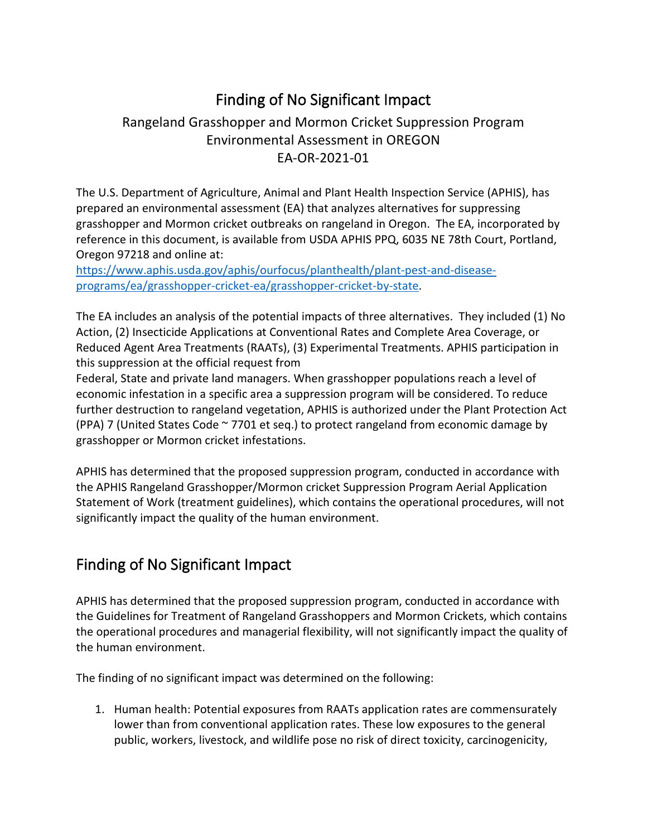## Finding of No Significant Impact

#### Rangeland Grasshopper and Mormon Cricket Suppression Program Environmental Assessment in OREGON EA-OR-2021-01

The U.S. Department of Agriculture, Animal and Plant Health Inspection Service (APHIS), has prepared an environmental assessment (EA) that analyzes alternatives for suppressing grasshopper and Mormon cricket outbreaks on rangeland in Oregon. The EA, incorporated by reference in this document, is available from USDA APHIS PPQ, 6035 NE 78th Court, Portland, Oregon 97218 and online at:

[https://www.aphis.usda.gov/aphis/ourfocus/planthealth/plant-pest-and-disease](https://www.aphis.usda.gov/aphis/ourfocus/planthealth/plant-pest-and-disease-programs/ea/grasshopper-cricket-ea/grasshopper-cricket-by-state)[programs/ea/grasshopper-cricket-ea/grasshopper-cricket-by-state.](https://www.aphis.usda.gov/aphis/ourfocus/planthealth/plant-pest-and-disease-programs/ea/grasshopper-cricket-ea/grasshopper-cricket-by-state)

The EA includes an analysis of the potential impacts of three alternatives. They included (1) No Action, (2) Insecticide Applications at Conventional Rates and Complete Area Coverage, or Reduced Agent Area Treatments (RAATs), (3) Experimental Treatments. APHIS participation in this suppression at the official request from

Federal, State and private land managers. When grasshopper populations reach a level of economic infestation in a specific area a suppression program will be considered. To reduce further destruction to rangeland vegetation, APHIS is authorized under the Plant Protection Act (PPA) 7 (United States Code ~ 7701 et seq.) to protect rangeland from economic damage by grasshopper or Mormon cricket infestations.

APHIS has determined that the proposed suppression program, conducted in accordance with the APHIS Rangeland Grasshopper/Mormon cricket Suppression Program Aerial Application Statement of Work (treatment guidelines), which contains the operational procedures, will not significantly impact the quality of the human environment.

#### Finding of No Significant Impact

APHIS has determined that the proposed suppression program, conducted in accordance with the Guidelines for Treatment of Rangeland Grasshoppers and Mormon Crickets, which contains the operational procedures and managerial flexibility, will not significantly impact the quality of the human environment.

The finding of no significant impact was determined on the following:

1. Human health: Potential exposures from RAATs application rates are commensurately lower than from conventional application rates. These low exposures to the general public, workers, livestock, and wildlife pose no risk of direct toxicity, carcinogenicity,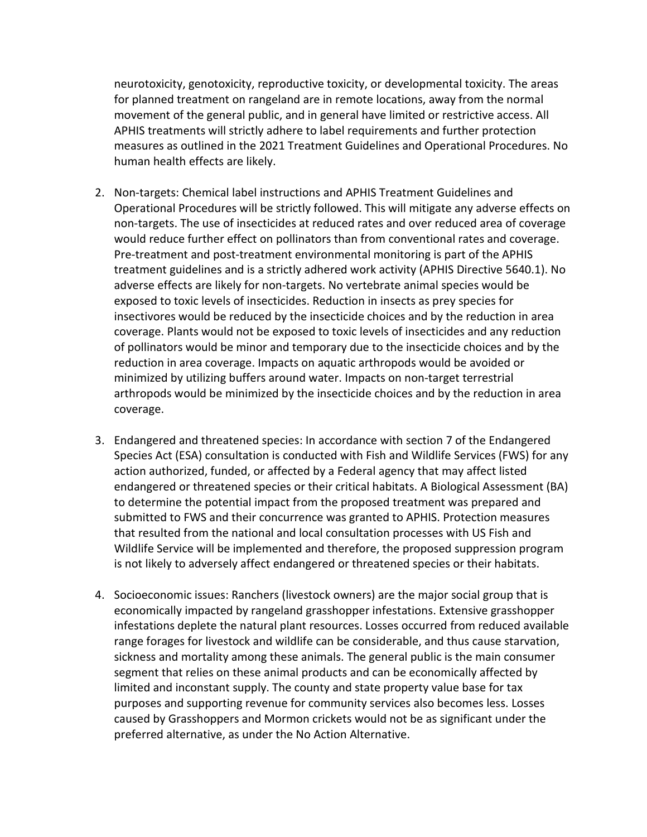neurotoxicity, genotoxicity, reproductive toxicity, or developmental toxicity. The areas for planned treatment on rangeland are in remote locations, away from the normal movement of the general public, and in general have limited or restrictive access. All APHIS treatments will strictly adhere to label requirements and further protection measures as outlined in the 2021 Treatment Guidelines and Operational Procedures. No human health effects are likely.

- 2. Non-targets: Chemical label instructions and APHIS Treatment Guidelines and Operational Procedures will be strictly followed. This will mitigate any adverse effects on non-targets. The use of insecticides at reduced rates and over reduced area of coverage would reduce further effect on pollinators than from conventional rates and coverage. Pre-treatment and post-treatment environmental monitoring is part of the APHIS treatment guidelines and is a strictly adhered work activity (APHIS Directive 5640.1). No adverse effects are likely for non-targets. No vertebrate animal species would be exposed to toxic levels of insecticides. Reduction in insects as prey species for insectivores would be reduced by the insecticide choices and by the reduction in area coverage. Plants would not be exposed to toxic levels of insecticides and any reduction of pollinators would be minor and temporary due to the insecticide choices and by the reduction in area coverage. Impacts on aquatic arthropods would be avoided or minimized by utilizing buffers around water. Impacts on non-target terrestrial arthropods would be minimized by the insecticide choices and by the reduction in area coverage.
- 3. Endangered and threatened species: In accordance with section 7 of the Endangered Species Act (ESA) consultation is conducted with Fish and Wildlife Services (FWS) for any action authorized, funded, or affected by a Federal agency that may affect listed endangered or threatened species or their critical habitats. A Biological Assessment (BA) to determine the potential impact from the proposed treatment was prepared and submitted to FWS and their concurrence was granted to APHIS. Protection measures that resulted from the national and local consultation processes with US Fish and Wildlife Service will be implemented and therefore, the proposed suppression program is not likely to adversely affect endangered or threatened species or their habitats.
- 4. Socioeconomic issues: Ranchers (livestock owners) are the major social group that is economically impacted by rangeland grasshopper infestations. Extensive grasshopper infestations deplete the natural plant resources. Losses occurred from reduced available range forages for livestock and wildlife can be considerable, and thus cause starvation, sickness and mortality among these animals. The general public is the main consumer segment that relies on these animal products and can be economically affected by limited and inconstant supply. The county and state property value base for tax purposes and supporting revenue for community services also becomes less. Losses caused by Grasshoppers and Mormon crickets would not be as significant under the preferred alternative, as under the No Action Alternative.